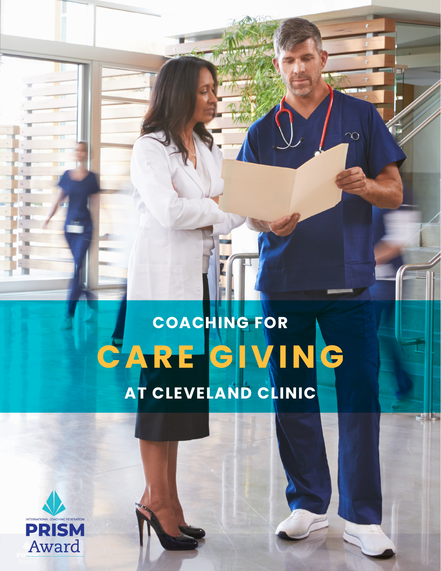# **COACHING FOR CARE GIVING AT CLEVELAND CLINIC**

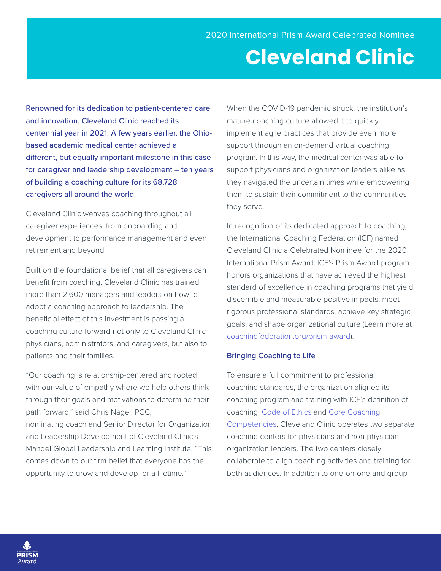# **Cleveland Clinic**

Renowned for its dedication to patient-centered care and innovation, Cleveland Clinic reached its centennial year in 2021. A few years earlier, the Ohiobased academic medical center achieved a different, but equally important milestone in this case for caregiver and leadership development – ten years of building a coaching culture for its 68,728 caregivers all around the world.

Cleveland Clinic weaves coaching throughout all caregiver experiences, from onboarding and development to performance management and even retirement and beyond.

Built on the foundational belief that all caregivers can benefit from coaching, Cleveland Clinic has trained more than 2,600 managers and leaders on how to adopt a coaching approach to leadership. The beneficial effect of this investment is passing a coaching culture forward not only to Cleveland Clinic physicians, administrators, and caregivers, but also to patients and their families.

"Our coaching is relationship-centered and rooted with our value of empathy where we help others think through their goals and motivations to determine their path forward," said Chris Nagel, PCC, nominating coach and Senior Director for Organization and Leadership Development of Cleveland Clinic's Mandel Global Leadership and Learning Institute. "This comes down to our firm belief that everyone has the opportunity to grow and develop for a lifetime."

When the COVID-19 pandemic struck, the institution's mature coaching culture allowed it to quickly implement agile practices that provide even more support through an on-demand virtual coaching program. In this way, the medical center was able to support physicians and organization leaders alike as they navigated the uncertain times while empowering them to sustain their commitment to the communities they serve.

In recognition of its dedicated approach to coaching, the International Coaching Federation (ICF) named Cleveland Clinic a Celebrated Nominee for the 2020 International Prism Award. ICF's Prism Award program honors organizations that have achieved the highest standard of excellence in coaching programs that yield discernible and measurable positive impacts, meet rigorous professional standards, achieve key strategic goals, and shape organizational culture (Learn more at [coachingfederation.org/prism-award\)](http://coachingfederation.org/prism-award).

## Bringing Coaching to Life

To ensure a full commitment to professional coaching standards, the organization aligned its coaching program and training with ICF's definition of coaching, [Code of Ethics](https://coachingfederation.org/code-of-ethics) and [Core Coaching](https://coachingfederation.org/core-competencies)  [Competencies](https://coachingfederation.org/core-competencies). Cleveland Clinic operates two separate coaching centers for physicians and non-physician organization leaders. The two centers closely collaborate to align coaching activities and training for both audiences. In addition to one-on-one and group

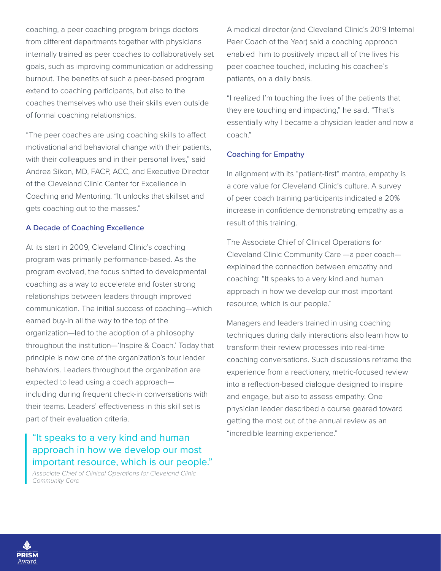coaching, a peer coaching program brings doctors from different departments together with physicians internally trained as peer coaches to collaboratively set goals, such as improving communication or addressing burnout. The benefits of such a peer-based program extend to coaching participants, but also to the coaches themselves who use their skills even outside of formal coaching relationships.

"The peer coaches are using coaching skills to affect motivational and behavioral change with their patients, with their colleagues and in their personal lives," said Andrea Sikon, MD, FACP, ACC, and Executive Director of the Cleveland Clinic Center for Excellence in Coaching and Mentoring. "It unlocks that skillset and gets coaching out to the masses."

# A Decade of Coaching Excellence

At its start in 2009, Cleveland Clinic's coaching program was primarily performance-based. As the program evolved, the focus shifted to developmental coaching as a way to accelerate and foster strong relationships between leaders through improved communication. The initial success of coaching—which earned buy-in all the way to the top of the organization—led to the adoption of a philosophy throughout the institution—'Inspire & Coach.' Today that principle is now one of the organization's four leader behaviors. Leaders throughout the organization are expected to lead using a coach approach including during frequent check-in conversations with their teams. Leaders' effectiveness in this skill set is part of their evaluation criteria.

# "It speaks to a very kind and human approach in how we develop our most important resource, which is our people."

*Associate Chief of Clinical Operations for Cleveland Clinic Community Care*

A medical director (and Cleveland Clinic's 2019 Internal Peer Coach of the Year) said a coaching approach enabled him to positively impact all of the lives his peer coachee touched, including his coachee's patients, on a daily basis.

"I realized I'm touching the lives of the patients that they are touching and impacting," he said. "That's essentially why I became a physician leader and now a coach."

# Coaching for Empathy

In alignment with its "patient-first" mantra, empathy is a core value for Cleveland Clinic's culture. A survey of peer coach training participants indicated a 20% increase in confidence demonstrating empathy as a result of this training.

The Associate Chief of Clinical Operations for Cleveland Clinic Community Care —a peer coach explained the connection between empathy and coaching: "It speaks to a very kind and human approach in how we develop our most important resource, which is our people."

Managers and leaders trained in using coaching techniques during daily interactions also learn how to transform their review processes into real-time coaching conversations. Such discussions reframe the experience from a reactionary, metric-focused review into a reflection-based dialogue designed to inspire and engage, but also to assess empathy. One physician leader described a course geared toward getting the most out of the annual review as an "incredible learning experience."

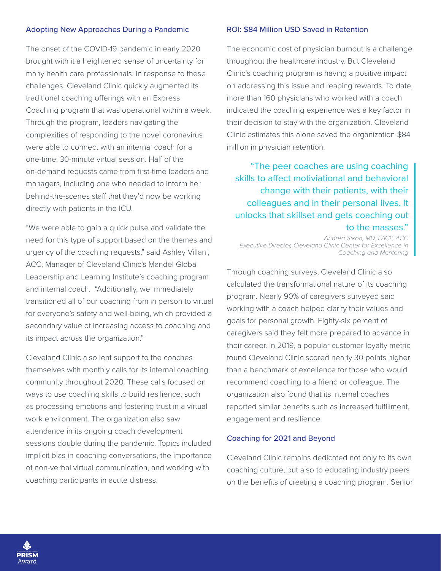# Adopting New Approaches During a Pandemic

The onset of the COVID-19 pandemic in early 2020 brought with it a heightened sense of uncertainty for many health care professionals. In response to these challenges, Cleveland Clinic quickly augmented its traditional coaching offerings with an Express Coaching program that was operational within a week. Through the program, leaders navigating the complexities of responding to the novel coronavirus were able to connect with an internal coach for a one-time, 30-minute virtual session. Half of the on-demand requests came from first-time leaders and managers, including one who needed to inform her behind-the-scenes staff that they'd now be working directly with patients in the ICU.

"We were able to gain a quick pulse and validate the need for this type of support based on the themes and urgency of the coaching requests," said Ashley Villani, ACC, Manager of Cleveland Clinic's Mandel Global Leadership and Learning Institute's coaching program and internal coach. "Additionally, we immediately transitioned all of our coaching from in person to virtual for everyone's safety and well-being, which provided a secondary value of increasing access to coaching and its impact across the organization."

Cleveland Clinic also lent support to the coaches themselves with monthly calls for its internal coaching community throughout 2020. These calls focused on ways to use coaching skills to build resilience, such as processing emotions and fostering trust in a virtual work environment. The organization also saw attendance in its ongoing coach development sessions double during the pandemic. Topics included implicit bias in coaching conversations, the importance of non-verbal virtual communication, and working with coaching participants in acute distress.

### ROI: \$84 Million USD Saved in Retention

The economic cost of physician burnout is a challenge throughout the healthcare industry. But Cleveland Clinic's coaching program is having a positive impact on addressing this issue and reaping rewards. To date, more than 160 physicians who worked with a coach indicated the coaching experience was a key factor in their decision to stay with the organization. Cleveland Clinic estimates this alone saved the organization \$84 million in physician retention.

"The peer coaches are using coaching skills to affect motiviational and behavioral change with their patients, with their colleagues and in their personal lives. It unlocks that skillset and gets coaching out to the masses."

*Andrea Sikon, MD, FACP, ACC Executive Director, Cleveland Clinic Center for Excellence in Coaching and Mentoring*

Through coaching surveys, Cleveland Clinic also calculated the transformational nature of its coaching program. Nearly 90% of caregivers surveyed said working with a coach helped clarify their values and goals for personal growth. Eighty-six percent of caregivers said they felt more prepared to advance in their career. In 2019, a popular customer loyalty metric found Cleveland Clinic scored nearly 30 points higher than a benchmark of excellence for those who would recommend coaching to a friend or colleague. The organization also found that its internal coaches reported similar benefits such as increased fulfillment, engagement and resilience.

#### Coaching for 2021 and Beyond

Cleveland Clinic remains dedicated not only to its own coaching culture, but also to educating industry peers on the benefits of creating a coaching program. Senior

**PRISM** \ward